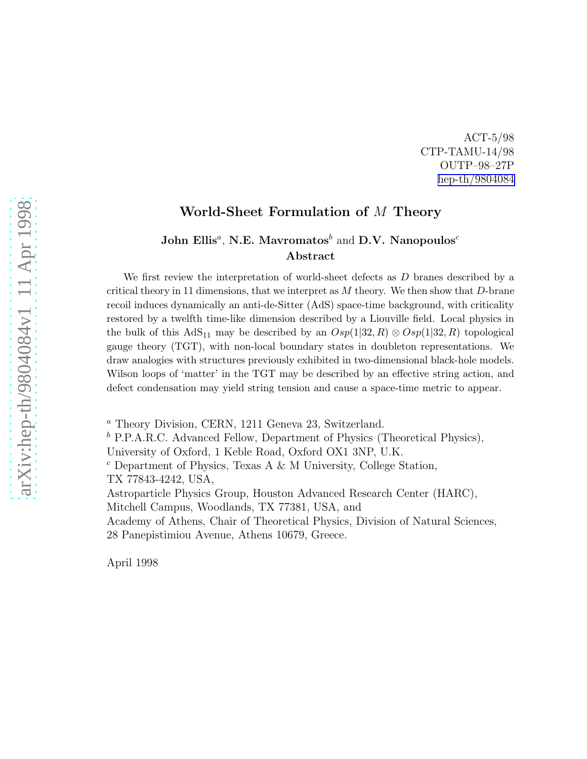ACT-5/98 CTP-TAMU-14/98 OUTP–98–27P [hep-th/9804084](http://arxiv.org/abs/hep-th/9804084)

#### World-Sheet Formulation of M Theory

#### John Ellis<sup>a</sup>, N.E. Mavromatos $^b$  and D.V. Nanopoulos $^c$ Abstract

We first review the interpretation of world-sheet defects as D branes described by a critical theory in 11 dimensions, that we interpret as  $M$  theory. We then show that  $D$ -brane recoil induces dynamically an anti-de-Sitter (AdS) space-time background, with criticality restored by a twelfth time-like dimension described by a Liouville field. Local physics in the bulk of this AdS<sub>11</sub> may be described by an  $Osp(1|32, R) \otimes Osp(1|32, R)$  topological gauge theory (TGT), with non-local boundary states in doubleton representations. We draw analogies with structures previously exhibited in two-dimensional black-hole models. Wilson loops of 'matter' in the TGT may be described by an effective string action, and defect condensation may yield string tension and cause a space-time metric to appear.

<sup>a</sup> Theory Division, CERN, 1211 Geneva 23, Switzerland.

 $b$  P.P.A.R.C. Advanced Fellow, Department of Physics (Theoretical Physics),

University of Oxford, 1 Keble Road, Oxford OX1 3NP, U.K.

 $c$  Department of Physics, Texas A & M University, College Station, TX 77843-4242, USA,

Astroparticle Physics Group, Houston Advanced Research Center (HARC),

Mitchell Campus, Woodlands, TX 77381, USA, and

Academy of Athens, Chair of Theoretical Physics, Division of Natural Sciences, 28 Panepistimiou Avenue, Athens 10679, Greece.

April 1998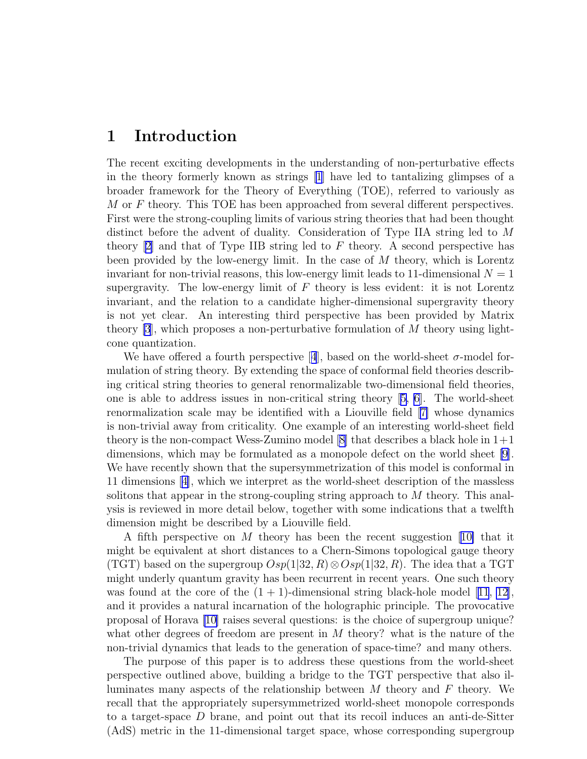## 1 Introduction

The recent exciting developments in the understanding of non-perturbative effects in the theory formerly known as strings [\[1\]](#page-17-0) have led to tantalizing glimpses of a broader framework for the Theory of Everything (TOE), referred to variously as  $M$  or  $F$  theory. This TOE has been approached from several different perspectives. First were the strong-coupling limits of various string theories that had been thought distinct before the advent of duality. Consideration of Type IIA string led to M theory  $[2]$  and that of Type IIB string led to F theory. A second perspective has been provided by the low-energy limit. In the case of M theory, which is Lorentz invariant for non-trivial reasons, this low-energy limit leads to 11-dimensional  $N = 1$ supergravity. The low-energy limit of  $F$  theory is less evident: it is not Lorentz invariant, and the relation to a candidate higher-dimensional supergravity theory is not yet clear. An interesting third perspective has been provided by Matrix theory  $[3]$ , which proposes a non-perturbative formulation of M theory using lightcone quantization.

Wehave offered a fourth perspective [[4](#page-17-0)], based on the world-sheet  $\sigma$ -model formulation of string theory. By extending the space of conformal field theories describing critical string theories to general renormalizable two-dimensional field theories, one is able to address issues in non-critical string theory[[5, 6\]](#page-18-0). The world-sheet renormalization scale may be identified with a Liouville field[[7\]](#page-18-0) whose dynamics is non-trivial away from criticality. One example of an interesting world-sheet field theory is the non-compact Wess-Zumino model  $[8]$  that describes a black hole in  $1+1$ dimensions, which may be formulated as a monopole defect on the world sheet [\[9](#page-18-0)]. We have recently shown that the supersymmetrization of this model is conformal in 11 dimensions[[4\]](#page-17-0), which we interpret as the world-sheet description of the massless solitons that appear in the strong-coupling string approach to M theory. This analysis is reviewed in more detail below, together with some indications that a twelfth dimension might be described by a Liouville field.

A fifth perspective on M theory has been the recent suggestion[[10\]](#page-18-0) that it might be equivalent at short distances to a Chern-Simons topological gauge theory (TGT) based on the supergroup  $Osp(1|32, R) \otimes Osp(1|32, R)$ . The idea that a TGT might underly quantum gravity has been recurrent in recent years. One such theory wasfound at the core of the  $(1 + 1)$ -dimensional string black-hole model  $|11, 12|$  $|11, 12|$  $|11, 12|$  $|11, 12|$  $|11, 12|$ , and it provides a natural incarnation of the holographic principle. The provocative proposal of Horava [\[10\]](#page-18-0) raises several questions: is the choice of supergroup unique? what other degrees of freedom are present in  $M$  theory? what is the nature of the non-trivial dynamics that leads to the generation of space-time? and many others.

The purpose of this paper is to address these questions from the world-sheet perspective outlined above, building a bridge to the TGT perspective that also illuminates many aspects of the relationship between  $M$  theory and  $F$  theory. We recall that the appropriately supersymmetrized world-sheet monopole corresponds to a target-space  $D$  brane, and point out that its recoil induces an anti-de-Sitter (AdS) metric in the 11-dimensional target space, whose corresponding supergroup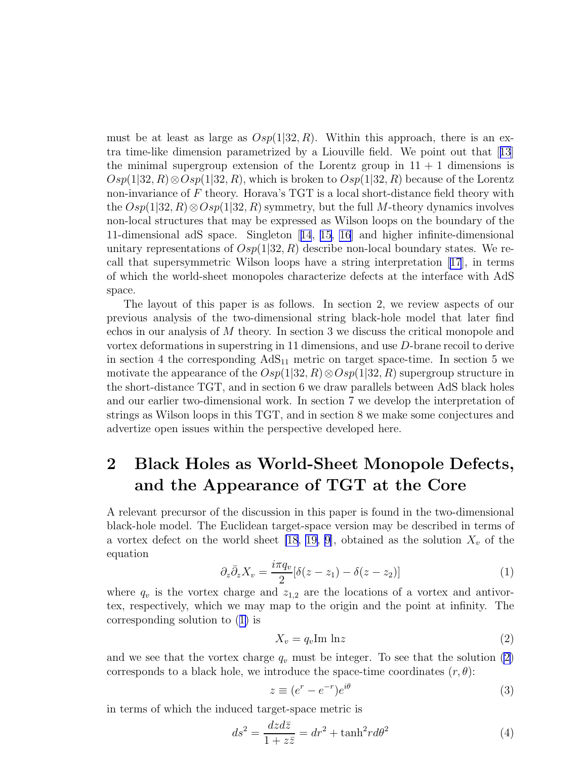<span id="page-2-0"></span>must be at least as large as  $Osp(1|32, R)$ . Within this approach, there is an extra time-like dimension parametrized by a Liouville field. We point out that[[13](#page-18-0)] the minimal supergroup extension of the Lorentz group in  $11 + 1$  dimensions is  $Osp(1|32, R) \otimes Osp(1|32, R)$ , which is broken to  $Osp(1|32, R)$  because of the Lorentz non-invariance of  $F$  theory. Horava's TGT is a local short-distance field theory with the  $Osp(1|32, R) \otimes Osp(1|32, R)$  symmetry, but the full M-theory dynamics involves non-local structures that may be expressed as Wilson loops on the boundary of the 11-dimensional adS space. Singleton[[14](#page-18-0), [15, 16](#page-18-0)] and higher infinite-dimensional unitary representations of  $Osp(1|32, R)$  describe non-local boundary states. We recall that supersymmetric Wilson loops have a string interpretation[[17](#page-18-0)], in terms of which the world-sheet monopoles characterize defects at the interface with AdS space.

The layout of this paper is as follows. In section 2, we review aspects of our previous analysis of the two-dimensional string black-hole model that later find echos in our analysis of M theory. In section 3 we discuss the critical monopole and vortex deformations in superstring in 11 dimensions, and use D-brane recoil to derive in section 4 the corresponding  $AdS_{11}$  metric on target space-time. In section 5 we motivate the appearance of the  $Osp(1|32, R) \otimes Osp(1|32, R)$  supergroup structure in the short-distance TGT, and in section 6 we draw parallels between AdS black holes and our earlier two-dimensional work. In section 7 we develop the interpretation of strings as Wilson loops in this TGT, and in section 8 we make some conjectures and advertize open issues within the perspective developed here.

# 2 Black Holes as World-Sheet Monopole Defects, and the Appearance of TGT at the Core

A relevant precursor of the discussion in this paper is found in the two-dimensional black-hole model. The Euclidean target-space version may be described in terms of a vortex defect on the world sheet [\[18](#page-18-0), [19, 9\]](#page-18-0), obtained as the solution  $X_v$  of the equation

$$
\partial_z \bar{\partial}_z X_v = \frac{i\pi q_v}{2} [\delta(z - z_1) - \delta(z - z_2)] \tag{1}
$$

where  $q_v$  is the vortex charge and  $z_{1,2}$  are the locations of a vortex and antivortex, respectively, which we may map to the origin and the point at infinity. The corresponding solution to (1) is

$$
X_v = q_v \text{Im} \ln z \tag{2}
$$

and we see that the vortex charge  $q_v$  must be integer. To see that the solution (2) corresponds to a black hole, we introduce the space-time coordinates  $(r, \theta)$ :

$$
z \equiv (e^r - e^{-r})e^{i\theta} \tag{3}
$$

in terms of which the induced target-space metric is

$$
ds^2 = \frac{dzd\bar{z}}{1 + z\bar{z}} = dr^2 + \tanh^2 r d\theta^2
$$
 (4)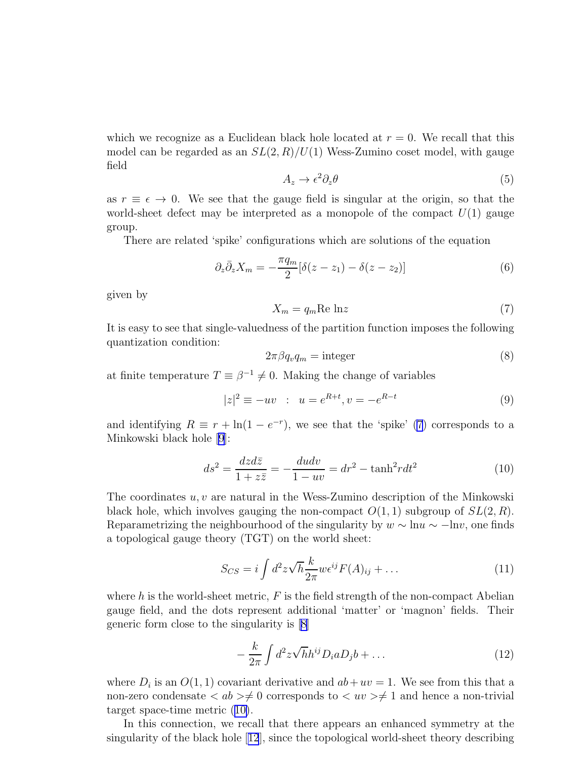<span id="page-3-0"></span>which we recognize as a Euclidean black hole located at  $r = 0$ . We recall that this model can be regarded as an  $SL(2, R)/U(1)$  Wess-Zumino coset model, with gauge field

$$
A_z \to \epsilon^2 \partial_z \theta \tag{5}
$$

as  $r \equiv \epsilon \rightarrow 0$ . We see that the gauge field is singular at the origin, so that the world-sheet defect may be interpreted as a monopole of the compact  $U(1)$  gauge group.

There are related 'spike' configurations which are solutions of the equation

$$
\partial_z \bar{\partial}_z X_m = -\frac{\pi q_m}{2} [\delta(z - z_1) - \delta(z - z_2)] \tag{6}
$$

given by

$$
X_m = q_m \text{Re} \ln z \tag{7}
$$

It is easy to see that single-valuedness of the partition function imposes the following quantization condition:

$$
2\pi\beta q_v q_m = \text{integer} \tag{8}
$$

at finite temperature  $T \equiv \beta^{-1} \neq 0$ . Making the change of variables

$$
|z|^2 \equiv -uv \; : \; u = e^{R+t}, v = -e^{R-t} \tag{9}
$$

and identifying  $R \equiv r + \ln(1 - e^{-r})$ , we see that the 'spike' (7) corresponds to a Minkowski black hole [\[9\]](#page-18-0):

$$
ds^2 = \frac{dzd\bar{z}}{1 + z\bar{z}} = -\frac{dudv}{1 - uv} = dr^2 - \tanh^2 rdt^2
$$
\n<sup>(10)</sup>

The coordinates  $u, v$  are natural in the Wess-Zumino description of the Minkowski black hole, which involves gauging the non-compact  $O(1, 1)$  subgroup of  $SL(2, R)$ . Reparametrizing the neighbourhood of the singularity by  $w \sim \ln u \sim -\ln v$ , one finds a topological gauge theory (TGT) on the world sheet:

$$
S_{CS} = i \int d^2 z \sqrt{h} \frac{k}{2\pi} w \epsilon^{ij} F(A)_{ij} + \dots \tag{11}
$$

where h is the world-sheet metric,  $F$  is the field strength of the non-compact Abelian gauge field, and the dots represent additional 'matter' or 'magnon' fields. Their generic form close to the singularity is [\[8\]](#page-18-0)

$$
-\frac{k}{2\pi}\int d^2z\sqrt{h}h^{ij}D_i aD_j b + \dots \qquad (12)
$$

where  $D_i$  is an  $O(1, 1)$  covariant derivative and  $ab + uv = 1$ . We see from this that a non-zero condensate  $\langle ab \rangle \neq 0$  corresponds to  $\langle uv \rangle \neq 1$  and hence a non-trivial target space-time metric (10).

In this connection, we recall that there appears an enhanced symmetry at the singularity of the black hole[[12](#page-18-0)], since the topological world-sheet theory describing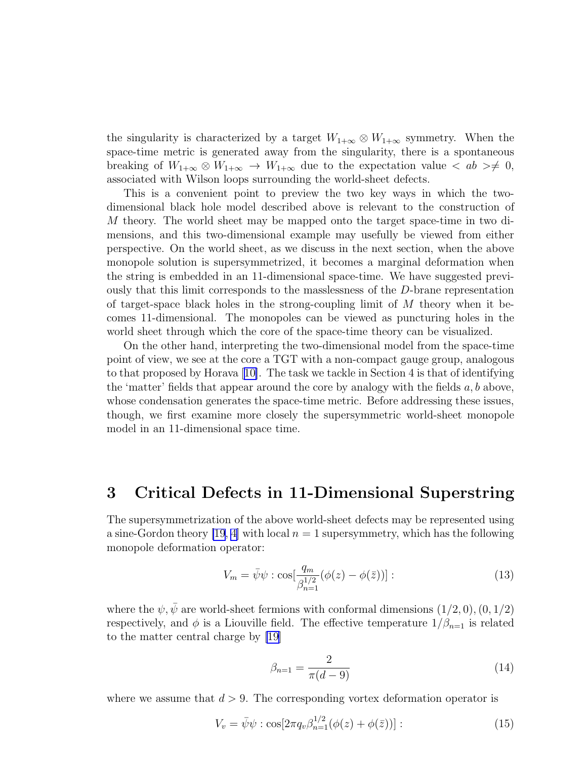<span id="page-4-0"></span>the singularity is characterized by a target  $W_{1+\infty} \otimes W_{1+\infty}$  symmetry. When the space-time metric is generated away from the singularity, there is a spontaneous breaking of  $W_{1+\infty} \otimes W_{1+\infty} \to W_{1+\infty}$  due to the expectation value  $\langle ab \rangle \neq 0$ , associated with Wilson loops surrounding the world-sheet defects.

This is a convenient point to preview the two key ways in which the twodimensional black hole model described above is relevant to the construction of M theory. The world sheet may be mapped onto the target space-time in two dimensions, and this two-dimensional example may usefully be viewed from either perspective. On the world sheet, as we discuss in the next section, when the above monopole solution is supersymmetrized, it becomes a marginal deformation when the string is embedded in an 11-dimensional space-time. We have suggested previously that this limit corresponds to the masslessness of the D-brane representation of target-space black holes in the strong-coupling limit of  $M$  theory when it becomes 11-dimensional. The monopoles can be viewed as puncturing holes in the world sheet through which the core of the space-time theory can be visualized.

On the other hand, interpreting the two-dimensional model from the space-time point of view, we see at the core a TGT with a non-compact gauge group, analogous to that proposed by Horava[[10\]](#page-18-0). The task we tackle in Section 4 is that of identifying the 'matter' fields that appear around the core by analogy with the fields  $a, b$  above, whose condensation generates the space-time metric. Before addressing these issues, though, we first examine more closely the supersymmetric world-sheet monopole model in an 11-dimensional space time.

### 3 Critical Defects in 11-Dimensional Superstring

The supersymmetrization of the above world-sheet defects may be represented using a sine-Gordon theory [\[19](#page-18-0), [4\]](#page-17-0) with local  $n = 1$  supersymmetry, which has the following monopole deformation operator:

$$
V_m = \bar{\psi}\psi : \cos[\frac{q_m}{\beta_{n=1}^{1/2}}(\phi(z) - \phi(\bar{z}))]:
$$
\n(13)

where the  $\psi, \bar{\psi}$  are world-sheet fermions with conformal dimensions  $(1/2, 0), (0, 1/2)$ respectively, and  $\phi$  is a Liouville field. The effective temperature  $1/\beta_{n=1}$  is related to the matter central charge by [\[19\]](#page-18-0)

$$
\beta_{n=1} = \frac{2}{\pi(d-9)}\tag{14}
$$

where we assume that  $d > 9$ . The corresponding vortex deformation operator is

$$
V_v = \bar{\psi}\psi : \cos[2\pi q_v \beta_{n=1}^{1/2} (\phi(z) + \phi(\bar{z}))]:
$$
\n(15)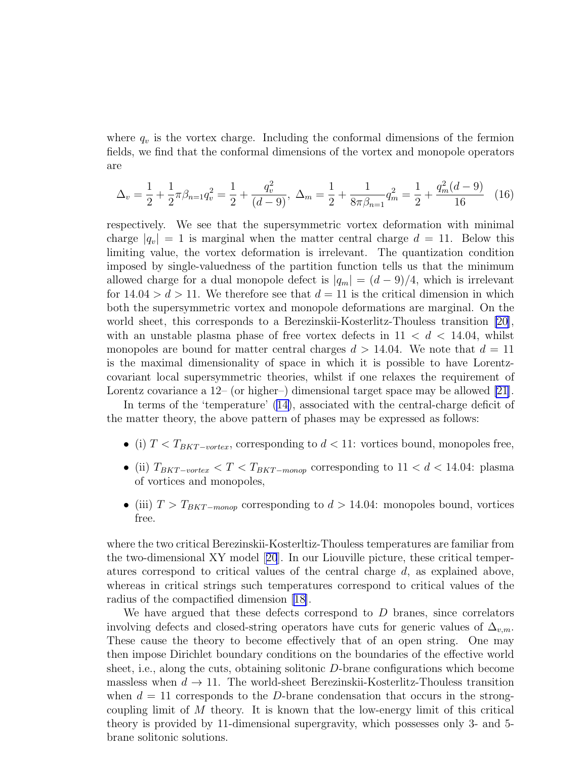where  $q_v$  is the vortex charge. Including the conformal dimensions of the fermion fields, we find that the conformal dimensions of the vortex and monopole operators are

$$
\Delta_v = \frac{1}{2} + \frac{1}{2}\pi\beta_{n=1}q_v^2 = \frac{1}{2} + \frac{q_v^2}{(d-9)}, \ \Delta_m = \frac{1}{2} + \frac{1}{8\pi\beta_{n=1}}q_m^2 = \frac{1}{2} + \frac{q_m^2(d-9)}{16} \tag{16}
$$

respectively. We see that the supersymmetric vortex deformation with minimal charge  $|q_v| = 1$  is marginal when the matter central charge  $d = 11$ . Below this limiting value, the vortex deformation is irrelevant. The quantization condition imposed by single-valuedness of the partition function tells us that the minimum allowed charge for a dual monopole defect is  $|q_m| = (d-9)/4$ , which is irrelevant for  $14.04 > d > 11$ . We therefore see that  $d = 11$  is the critical dimension in which both the supersymmetric vortex and monopole deformations are marginal. On the world sheet, this corresponds to a Berezinskii-Kosterlitz-Thouless transition [\[20](#page-18-0)], with an unstable plasma phase of free vortex defects in  $11 < d < 14.04$ , whilst monopoles are bound for matter central charges  $d > 14.04$ . We note that  $d = 11$ is the maximal dimensionality of space in which it is possible to have Lorentzcovariant local supersymmetric theories, whilst if one relaxes the requirement of Lorentz covariance a 12– (or higher–) dimensional target space may be allowed [\[21](#page-19-0)].

In terms of the 'temperature'([14\)](#page-4-0), associated with the central-charge deficit of the matter theory, the above pattern of phases may be expressed as follows:

- (i)  $T < T_{BKT-vortex}$ , corresponding to  $d < 11$ : vortices bound, monopoles free,
- (ii)  $T_{BKT-vortex} < T < T_{BKT-monop}$  corresponding to  $11 < d < 14.04$ : plasma of vortices and monopoles,
- (iii)  $T > T_{BKT-monop}$  corresponding to  $d > 14.04$ : monopoles bound, vortices free.

where the two critical Berezinskii-Kosterltiz-Thouless temperatures are familiar from the two-dimensional XY model[[20](#page-18-0)]. In our Liouville picture, these critical temperatures correspond to critical values of the central charge d, as explained above, whereas in critical strings such temperatures correspond to critical values of the radius of the compactified dimension[[18\]](#page-18-0).

We have argued that these defects correspond to  $D$  branes, since correlators involving defects and closed-string operators have cuts for generic values of  $\Delta_{v,m}$ . These cause the theory to become effectively that of an open string. One may then impose Dirichlet boundary conditions on the boundaries of the effective world sheet, i.e., along the cuts, obtaining solitonic D-brane configurations which become massless when  $d \to 11$ . The world-sheet Berezinskii-Kosterlitz-Thouless transition when  $d = 11$  corresponds to the D-brane condensation that occurs in the strongcoupling limit of  $M$  theory. It is known that the low-energy limit of this critical theory is provided by 11-dimensional supergravity, which possesses only 3- and 5 brane solitonic solutions.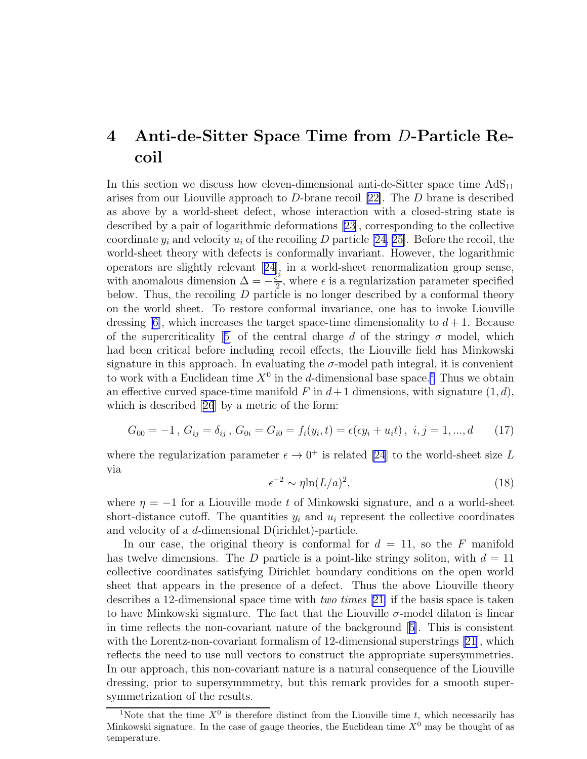## <span id="page-6-0"></span>4 Anti-de-Sitter Space Time from D-Particle Recoil

In this section we discuss how eleven-dimensional anti-de-Sitter space time  $AdS_{11}$ arises from our Liouville approach to D-brane recoil[[22\]](#page-19-0). The D brane is described as above by a world-sheet defect, whose interaction with a closed-string state is described by a pair of logarithmic deformations [\[23\]](#page-19-0), corresponding to the collective coordinate  $y_i$  and velocity  $u_i$  of the recoiling D particle [\[24, 25\]](#page-19-0). Before the recoil, the world-sheet theory with defects is conformally invariant. However, the logarithmic operators are slightly relevant[[24](#page-19-0)], in a world-sheet renormalization group sense, with anomalous dimension  $\Delta = -\frac{\tilde{\epsilon}^2}{2}$  $\frac{z}{2}$ , where  $\epsilon$  is a regularization parameter specified below. Thus, the recoiling  $D$  particle is no longer described by a conformal theory on the world sheet. To restore conformal invariance, one has to invoke Liouville dressing  $[6]$ , which increases the target space-time dimensionality to  $d+1$ . Because ofthe supercriticality [[5\]](#page-18-0) of the central charge d of the stringy  $\sigma$  model, which had been critical before including recoil effects, the Liouville field has Minkowski signature in this approach. In evaluating the  $\sigma$ -model path integral, it is convenient to work with a Euclidean time  $X^0$  in the d-dimensional base space.<sup>1</sup> Thus we obtain an effective curved space-time manifold F in  $d+1$  dimensions, with signature  $(1, d)$ , which is described[[26](#page-19-0)] by a metric of the form:

$$
G_{00} = -1, G_{ij} = \delta_{ij}, G_{0i} = G_{i0} = f_i(y_i, t) = \epsilon(\epsilon y_i + u_i t), i, j = 1, ..., d \quad (17)
$$

where the regularization parameter  $\epsilon \to 0^+$  is related [\[24](#page-19-0)] to the world-sheet size L via

$$
\epsilon^{-2} \sim \eta \ln(L/a)^2,\tag{18}
$$

where  $\eta = -1$  for a Liouville mode t of Minkowski signature, and a a world-sheet short-distance cutoff. The quantities  $y_i$  and  $u_i$  represent the collective coordinates and velocity of a d-dimensional D(irichlet)-particle.

In our case, the original theory is conformal for  $d = 11$ , so the F manifold has twelve dimensions. The D particle is a point-like stringy soliton, with  $d = 11$ collective coordinates satisfying Dirichlet boundary conditions on the open world sheet that appears in the presence of a defect. Thus the above Liouville theory describes a 12-dimensional space time with two times [\[21\]](#page-19-0) if the basis space is taken to have Minkowski signature. The fact that the Liouville  $\sigma$ -model dilaton is linear in time reflects the non-covariant nature of the background[[5\]](#page-18-0). This is consistent with the Lorentz-non-covariant formalism of 12-dimensional superstrings [\[21](#page-19-0)], which reflects the need to use null vectors to construct the appropriate supersymmetries. In our approach, this non-covariant nature is a natural consequence of the Liouville dressing, prior to supersymmmetry, but this remark provides for a smooth supersymmetrization of the results.

<sup>&</sup>lt;sup>1</sup>Note that the time  $X^0$  is therefore distinct from the Liouville time t, which necessarily has Minkowski signature. In the case of gauge theories, the Euclidean time  $X^0$  may be thought of as temperature.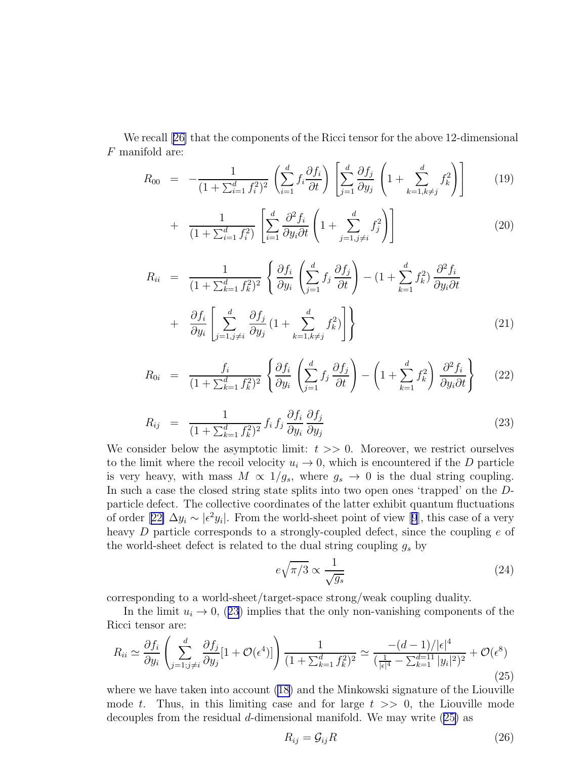We recall[[26\]](#page-19-0) that the components of the Ricci tensor for the above 12-dimensional F manifold are:

$$
R_{00} = -\frac{1}{(1 + \sum_{i=1}^{d} f_i^2)^2} \left( \sum_{i=1}^{d} f_i \frac{\partial f_i}{\partial t} \right) \left[ \sum_{j=1}^{d} \frac{\partial f_j}{\partial y_j} \left( 1 + \sum_{k=1, k \neq j}^{d} f_k^2 \right) \right]
$$
(19)

$$
+ \frac{1}{(1+\sum_{i=1}^d f_i^2)} \left[ \sum_{i=1}^d \frac{\partial^2 f_i}{\partial y_i \partial t} \left( 1 + \sum_{j=1, j \neq i}^d f_j^2 \right) \right]
$$
(20)

$$
R_{ii} = \frac{1}{(1 + \sum_{k=1}^{d} f_k^2)^2} \left\{ \frac{\partial f_i}{\partial y_i} \left( \sum_{j=1}^{d} f_j \frac{\partial f_j}{\partial t} \right) - (1 + \sum_{k=1}^{d} f_k^2) \frac{\partial^2 f_i}{\partial y_i \partial t} + \frac{\partial f_i}{\partial y_i} \left[ \sum_{j=1, j \neq i}^{d} \frac{\partial f_j}{\partial y_j} \left( 1 + \sum_{k=1, k \neq j}^{d} f_k^2 \right) \right] \right\}
$$
(21)

$$
R_{0i} = \frac{f_i}{(1 + \sum_{k=1}^d f_k^2)^2} \left\{ \frac{\partial f_i}{\partial y_i} \left( \sum_{j=1}^d f_j \frac{\partial f_j}{\partial t} \right) - \left( 1 + \sum_{k=1}^d f_k^2 \right) \frac{\partial^2 f_i}{\partial y_i \partial t} \right\} \tag{22}
$$

$$
R_{ij} = \frac{1}{(1 + \sum_{k=1}^d f_k^2)^2} f_i f_j \frac{\partial f_i}{\partial y_i} \frac{\partial f_j}{\partial y_j}
$$
(23)

We consider below the asymptotic limit:  $t \geq 0$ . Moreover, we restrict ourselves to the limit where the recoil velocity  $u_i \to 0$ , which is encountered if the D particle is very heavy, with mass  $M \propto 1/g_s$ , where  $g_s \to 0$  is the dual string coupling. In such a case the closed string state splits into two open ones 'trapped' on the Dparticle defect. The collective coordinates of the latter exhibit quantum fluctuations oforder [[22\]](#page-19-0)  $\Delta y_i \sim |\epsilon^2 y_i|$ . From the world-sheet point of view [[9](#page-18-0)], this case of a very heavy D particle corresponds to a strongly-coupled defect, since the coupling e of the world-sheet defect is related to the dual string coupling  $g_s$  by

$$
e\sqrt{\pi/3} \propto \frac{1}{\sqrt{g_s}}\tag{24}
$$

corresponding to a world-sheet/target-space strong/weak coupling duality.

In the limit  $u_i \to 0$ , (23) implies that the only non-vanishing components of the Ricci tensor are:

$$
R_{ii} \simeq \frac{\partial f_i}{\partial y_i} \left( \sum_{j=1;j \neq i}^d \frac{\partial f_j}{\partial y_j} [1 + \mathcal{O}(\epsilon^4)] \right) \frac{1}{(1 + \sum_{k=1}^d f_k^2)^2} \simeq \frac{-(d-1)/|\epsilon|^4}{(\frac{1}{|\epsilon|^4} - \sum_{k=1}^{d-1} |y_i|^2)^2} + \mathcal{O}(\epsilon^8)
$$
\n(25)

where we have taken into account  $(18)$  and the Minkowski signature of the Liouville mode t. Thus, in this limiting case and for large  $t \geq 0$ , the Liouville mode decouples from the residual d-dimensional manifold. We may write (25) as

$$
R_{ij} = \mathcal{G}_{ij} R \tag{26}
$$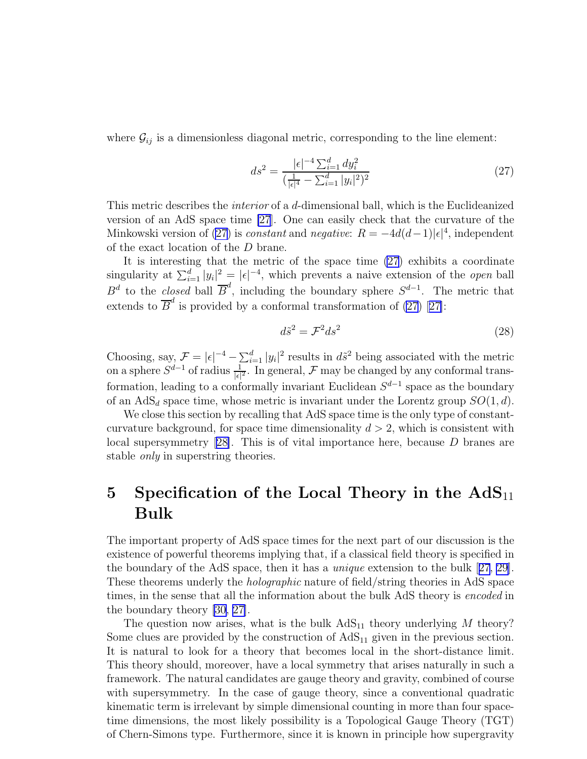where  $\mathcal{G}_{ij}$  is a dimensionless diagonal metric, corresponding to the line element:

$$
ds^{2} = \frac{|\epsilon|^{-4} \sum_{i=1}^{d} dy_{i}^{2}}{\left(\frac{1}{|\epsilon|^{4}} - \sum_{i=1}^{d} |y_{i}|^{2}\right)^{2}}
$$
(27)

This metric describes the interior of a d-dimensional ball, which is the Euclideanized version of an AdS space time [\[27](#page-19-0)]. One can easily check that the curvature of the Minkowski version of (27) is *constant* and *negative*:  $R = -4d(d-1)|\epsilon|^4$ , independent of the exact location of the D brane.

It is interesting that the metric of the space time (27) exhibits a coordinate singularity at  $\sum_{i=1}^d |y_i|^2 = |\epsilon|^{-4}$ , which prevents a naive extension of the *open* ball  $B^d$  to the *closed* ball  $\overline{B}^d$ , including the boundary sphere  $S^{d-1}$ . The metric that extendsto  $\overline{B}^d$  is provided by a conformal transformation of (27) [[27\]](#page-19-0):

$$
d\tilde{s}^2 = \mathcal{F}^2 ds^2 \tag{28}
$$

Choosing, say,  $\mathcal{F} = |\epsilon|^{-4} - \sum_{i=1}^d |y_i|^2$  results in  $d\tilde{s}^2$  being associated with the metric on a sphere  $S^{d-1}$  of radius  $\frac{1}{|\epsilon|^2}$ . In general,  $\mathcal F$  may be changed by any conformal transformation, leading to a conformally invariant Euclidean  $S^{d-1}$  space as the boundary of an AdS<sub>d</sub> space time, whose metric is invariant under the Lorentz group  $SO(1, d)$ .

We close this section by recalling that AdS space time is the only type of constantcurvature background, for space time dimensionality  $d > 2$ , which is consistent with local supersymmetry[[28\]](#page-19-0). This is of vital importance here, because D branes are stable only in superstring theories.

## 5 Specification of the Local Theory in the  $AdS_{11}$ Bulk

The important property of AdS space times for the next part of our discussion is the existence of powerful theorems implying that, if a classical field theory is specified in the boundary of the AdS space, then it has a unique extension to the bulk[[27](#page-19-0), [29](#page-19-0)]. These theorems underly the holographic nature of field/string theories in AdS space times, in the sense that all the information about the bulk AdS theory is encoded in the boundary theory [\[30, 27\]](#page-19-0).

The question now arises, what is the bulk  $AdS_{11}$  theory underlying M theory? Some clues are provided by the construction of  $AdS_{11}$  given in the previous section. It is natural to look for a theory that becomes local in the short-distance limit. This theory should, moreover, have a local symmetry that arises naturally in such a framework. The natural candidates are gauge theory and gravity, combined of course with supersymmetry. In the case of gauge theory, since a conventional quadratic kinematic term is irrelevant by simple dimensional counting in more than four spacetime dimensions, the most likely possibility is a Topological Gauge Theory (TGT) of Chern-Simons type. Furthermore, since it is known in principle how supergravity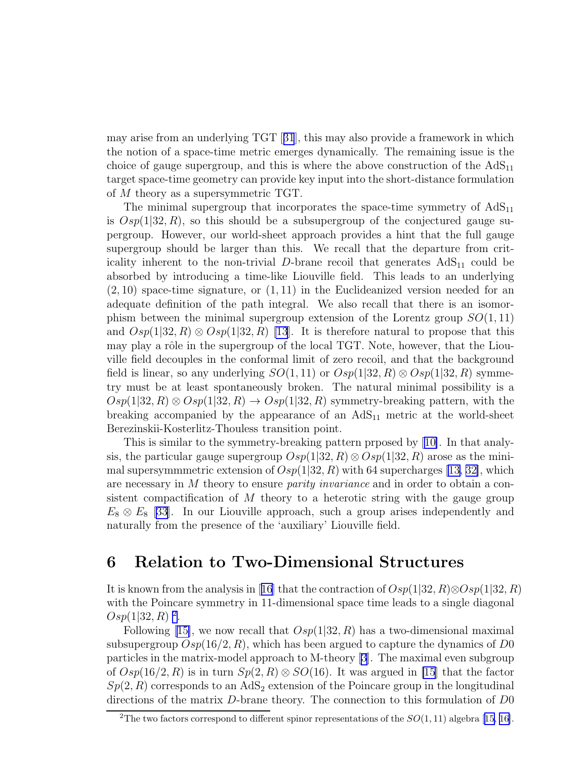may arise from an underlying TGT[[31](#page-19-0)], this may also provide a framework in which the notion of a space-time metric emerges dynamically. The remaining issue is the choice of gauge supergroup, and this is where the above construction of the  $AdS_{11}$ target space-time geometry can provide key input into the short-distance formulation of M theory as a supersymmetric TGT.

The minimal supergroup that incorporates the space-time symmetry of  $AdS_{11}$ is  $Osp(1|32, R)$ , so this should be a subsupergroup of the conjectured gauge supergroup. However, our world-sheet approach provides a hint that the full gauge supergroup should be larger than this. We recall that the departure from criticality inherent to the non-trivial D-brane recoil that generates  $AdS_{11}$  could be absorbed by introducing a time-like Liouville field. This leads to an underlying  $(2, 10)$  space-time signature, or  $(1, 11)$  in the Euclideanized version needed for an adequate definition of the path integral. We also recall that there is an isomorphism between the minimal supergroup extension of the Lorentz group  $SO(1,11)$ and  $Osp(1|32, R) \otimes Osp(1|32, R)$  [\[13](#page-18-0)]. It is therefore natural to propose that this may play a rôle in the supergroup of the local TGT. Note, however, that the Liouville field decouples in the conformal limit of zero recoil, and that the background field is linear, so any underlying  $SO(1, 11)$  or  $Osp(1|32, R) \otimes Osp(1|32, R)$  symmetry must be at least spontaneously broken. The natural minimal possibility is a  $Osp(1|32, R) \otimes Osp(1|32, R) \rightarrow Osp(1|32, R)$  symmetry-breaking pattern, with the breaking accompanied by the appearance of an  $AdS_{11}$  metric at the world-sheet Berezinskii-Kosterlitz-Thouless transition point.

This is similar to the symmetry-breaking pattern prposed by[[10\]](#page-18-0). In that analysis, the particular gauge supergroup  $Osp(1|32, R) \otimes Osp(1|32, R)$  arose as the minimal supersymmmetric extension of  $Osp(1|32, R)$  with 64 supercharges [\[13,](#page-18-0) [32\]](#page-19-0), which are necessary in M theory to ensure parity invariance and in order to obtain a consistent compactification of  $M$  theory to a heterotic string with the gauge group  $E_8 \otimes E_8$  [\[33\]](#page-19-0). In our Liouville approach, such a group arises independently and naturally from the presence of the 'auxiliary' Liouville field.

## 6 Relation to Two-Dimensional Structures

Itis known from the analysis in [[16](#page-18-0)] that the contraction of  $Osp(1|32, R) \otimes Osp(1|32, R)$ with the Poincare symmetry in 11-dimensional space time leads to a single diagonal  $Osp(1|32, R)^2$ .

Following[[15\]](#page-18-0), we now recall that  $Osp(1|32, R)$  has a two-dimensional maximal subsupergroup  $Osp(16/2, R)$ , which has been argued to capture the dynamics of D0 particles in the matrix-model approach to M-theory [\[3\]](#page-17-0). The maximal even subgroup of  $Osp(16/2, R)$  is in turn  $Sp(2, R) \otimes SO(16)$ . It was argued in [\[15](#page-18-0)] that the factor  $Sp(2, R)$  corresponds to an AdS<sub>2</sub> extension of the Poincare group in the longitudinal directions of the matrix D-brane theory. The connection to this formulation of D0

<sup>&</sup>lt;sup>2</sup>Thetwo factors correspond to different spinor representations of the  $SO(1,11)$  algebra [[15, 16\]](#page-18-0).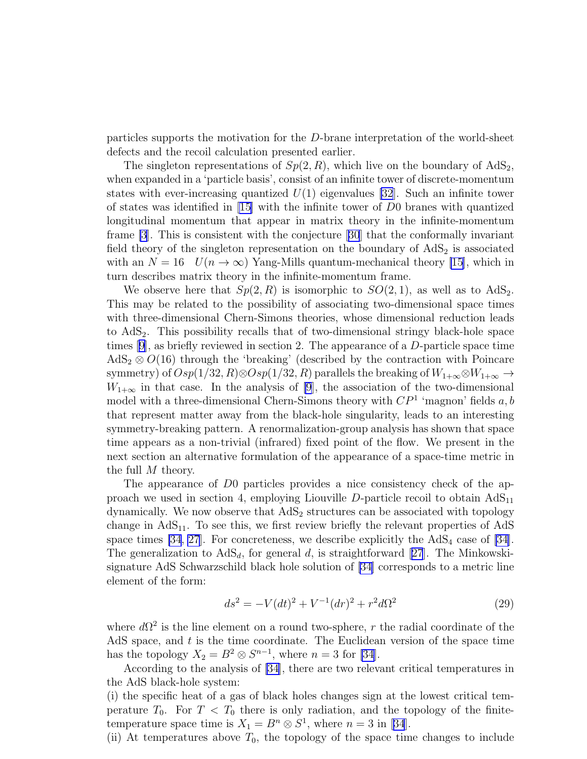particles supports the motivation for the D-brane interpretation of the world-sheet defects and the recoil calculation presented earlier.

The singleton representations of  $Sp(2, R)$ , which live on the boundary of  $AdS_2$ , when expanded in a 'particle basis', consist of an infinite tower of discrete-momentum states with ever-increasing quantized  $U(1)$  eigenvalues [\[32](#page-19-0)]. Such an infinite tower of states was identified in [\[15\]](#page-18-0) with the infinite tower of D0 branes with quantized longitudinal momentum that appear in matrix theory in the infinite-momentum frame [\[3](#page-17-0)]. This is consistent with the conjecture[[30](#page-19-0)] that the conformally invariant field theory of the singleton representation on the boundary of  $AdS<sub>2</sub>$  is associated with an  $N = 16$   $U(n \to \infty)$  Yang-Mills quantum-mechanical theory [\[15](#page-18-0)], which in turn describes matrix theory in the infinite-momentum frame.

We observe here that  $Sp(2, R)$  is isomorphic to  $SO(2, 1)$ , as well as to  $AdS_2$ . This may be related to the possibility of associating two-dimensional space times with three-dimensional Chern-Simons theories, whose dimensional reduction leads to  $AdS<sub>2</sub>$ . This possibility recalls that of two-dimensional stringy black-hole space times [\[9\]](#page-18-0), as briefly reviewed in section 2. The appearance of a D-particle space time  $AdS_2 \otimes O(16)$  through the 'breaking' (described by the contraction with Poincare symmetry) of  $Osp(1/32, R) \otimes Osp(1/32, R)$  parallels the breaking of  $W_{1+\infty} \otimes W_{1+\infty} \to$  $W_{1+\infty}$  in that case. In the analysis of [\[9](#page-18-0)], the association of the two-dimensional model with a three-dimensional Chern-Simons theory with  $\mathbb{CP}^1$  'magnon' fields  $a, b$ that represent matter away from the black-hole singularity, leads to an interesting symmetry-breaking pattern. A renormalization-group analysis has shown that space time appears as a non-trivial (infrared) fixed point of the flow. We present in the next section an alternative formulation of the appearance of a space-time metric in the full M theory.

The appearance of D0 particles provides a nice consistency check of the approach we used in section 4, employing Liouville  $D$ -particle recoil to obtain  $AdS_{11}$ dynamically. We now observe that  $AdS<sub>2</sub>$  structures can be associated with topology change in  $AdS_{11}$ . To see this, we first review briefly the relevant properties of  $AdS$ space times  $[34, 27]$  $[34, 27]$  $[34, 27]$ . For concreteness, we describe explicitly the  $AdS<sub>4</sub>$  case of  $[34]$ . Thegeneralization to  $AdS_d$ , for general d, is straightforward [[27](#page-19-0)]. The Minkowskisignature AdS Schwarzschild black hole solution of [\[34\]](#page-19-0) corresponds to a metric line element of the form:

$$
ds^{2} = -V(dt)^{2} + V^{-1}(dr)^{2} + r^{2}d\Omega^{2}
$$
\n(29)

where  $d\Omega^2$  is the line element on a round two-sphere, r the radial coordinate of the AdS space, and  $t$  is the time coordinate. The Euclidean version of the space time has the topology  $X_2 = B^2 \otimes S^{n-1}$ , where  $n = 3$  for [\[34](#page-19-0)].

According to the analysis of [\[34\]](#page-19-0), there are two relevant critical temperatures in the AdS black-hole system:

(i) the specific heat of a gas of black holes changes sign at the lowest critical temperature  $T_0$ . For  $T < T_0$  there is only radiation, and the topology of the finitetemperaturespace time is  $X_1 = B^n \otimes S^1$ , where  $n = 3$  in [[34](#page-19-0)].

(ii) At temperatures above  $T_0$ , the topology of the space time changes to include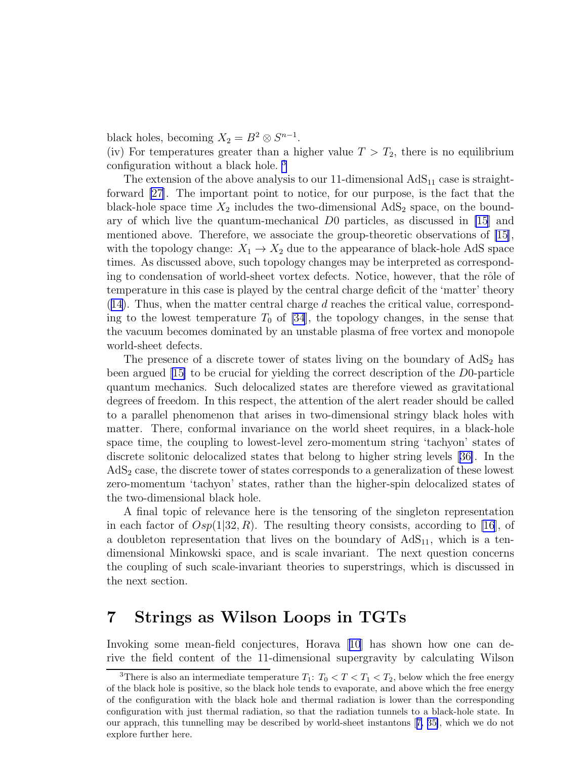black holes, becoming  $X_2 = B^2 \otimes S^{n-1}$ .

(iv) For temperatures greater than a higher value  $T > T_2$ , there is no equilibrium configuration without a black hole. <sup>3</sup>

The extension of the above analysis to our 11-dimensional  $AdS_{11}$  case is straightforward [\[27\]](#page-19-0). The important point to notice, for our purpose, is the fact that the black-hole space time  $X_2$  includes the two-dimensional  $AdS_2$  space, on the boundary of which live the quantum-mechanical D0 particles, as discussed in [\[15](#page-18-0)] and mentioned above. Therefore, we associate the group-theoretic observations of [\[15](#page-18-0)], with the topology change:  $X_1 \rightarrow X_2$  due to the appearance of black-hole AdS space times. As discussed above, such topology changes may be interpreted as corresponding to condensation of world-sheet vortex defects. Notice, however, that the rôle of temperature in this case is played by the central charge deficit of the 'matter' theory ([14\)](#page-4-0). Thus, when the matter central charge d reaches the critical value, corresponding to the lowest temperature  $T_0$  of [\[34](#page-19-0)], the topology changes, in the sense that the vacuum becomes dominated by an unstable plasma of free vortex and monopole world-sheet defects.

The presence of a discrete tower of states living on the boundary of  $AdS<sub>2</sub>$  has been argued [\[15\]](#page-18-0) to be crucial for yielding the correct description of the D0-particle quantum mechanics. Such delocalized states are therefore viewed as gravitational degrees of freedom. In this respect, the attention of the alert reader should be called to a parallel phenomenon that arises in two-dimensional stringy black holes with matter. There, conformal invariance on the world sheet requires, in a black-hole space time, the coupling to lowest-level zero-momentum string 'tachyon' states of discrete solitonic delocalized states that belong to higher string levels[[36\]](#page-19-0). In the  $AdS<sub>2</sub>$  case, the discrete tower of states corresponds to a generalization of these lowest zero-momentum 'tachyon' states, rather than the higher-spin delocalized states of the two-dimensional black hole.

A final topic of relevance here is the tensoring of the singleton representation in each factor of  $Osp(1|32, R)$ . The resulting theory consists, according to [\[16\]](#page-18-0), of a doubleton representation that lives on the boundary of  $AdS_{11}$ , which is a tendimensional Minkowski space, and is scale invariant. The next question concerns the coupling of such scale-invariant theories to superstrings, which is discussed in the next section.

## 7 Strings as Wilson Loops in TGTs

Invoking some mean-field conjectures, Horava[[10](#page-18-0)] has shown how one can derive the field content of the 11-dimensional supergravity by calculating Wilson

<sup>&</sup>lt;sup>3</sup>There is also an intermediate temperature  $T_1: T_0 < T < T_1 < T_2$ , below which the free energy of the black hole is positive, so the black hole tends to evaporate, and above which the free energy of the configuration with the black hole and thermal radiation is lower than the corresponding configuration with just thermal radiation, so that the radiation tunnels to a black-hole state. In our apprach, this tunnelling may be described by world-sheet instantons[[7,](#page-18-0) [35\]](#page-19-0), which we do not explore further here.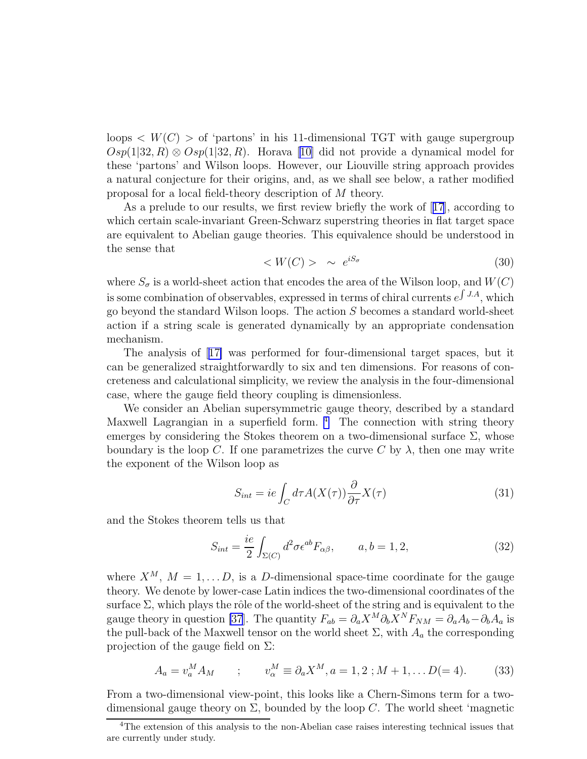<span id="page-12-0"></span>loops  $\langle W(C) \rangle$  of 'partons' in his 11-dimensional TGT with gauge supergroup  $Osp(1|32, R) \otimes Osp(1|32, R)$ . Horava [\[10\]](#page-18-0) did not provide a dynamical model for these 'partons' and Wilson loops. However, our Liouville string approach provides a natural conjecture for their origins, and, as we shall see below, a rather modified proposal for a local field-theory description of M theory.

As a prelude to our results, we first review briefly the work of[[17](#page-18-0)], according to which certain scale-invariant Green-Schwarz superstring theories in flat target space are equivalent to Abelian gauge theories. This equivalence should be understood in the sense that

$$
\langle W(C) \rangle \sim e^{iS_{\sigma}} \tag{30}
$$

where  $S_{\sigma}$  is a world-sheet action that encodes the area of the Wilson loop, and  $W(C)$ is some combination of observables, expressed in terms of chiral currents  $e^{\int J.A}$ , which go beyond the standard Wilson loops. The action S becomes a standard world-sheet action if a string scale is generated dynamically by an appropriate condensation mechanism.

The analysis of[[17\]](#page-18-0) was performed for four-dimensional target spaces, but it can be generalized straightforwardly to six and ten dimensions. For reasons of concreteness and calculational simplicity, we review the analysis in the four-dimensional case, where the gauge field theory coupling is dimensionless.

We consider an Abelian supersymmetric gauge theory, described by a standard Maxwell Lagrangian in a superfield form.  $4\degree$  The connection with string theory emerges by considering the Stokes theorem on a two-dimensional surface  $\Sigma$ , whose boundary is the loop C. If one parametrizes the curve C by  $\lambda$ , then one may write the exponent of the Wilson loop as

$$
S_{int} = ie \int_C d\tau A(X(\tau)) \frac{\partial}{\partial \tau} X(\tau)
$$
\n(31)

and the Stokes theorem tells us that

$$
S_{int} = \frac{ie}{2} \int_{\Sigma(C)} d^2 \sigma \epsilon^{ab} F_{\alpha\beta}, \qquad a, b = 1, 2,
$$
 (32)

where  $X^M$ ,  $M = 1, \ldots, D$ , is a D-dimensional space-time coordinate for the gauge theory. We denote by lower-case Latin indices the two-dimensional coordinates of the surface  $\Sigma$ , which plays the rôle of the world-sheet of the string and is equivalent to the gauge theory in question [\[37](#page-19-0)]. The quantity  $F_{ab} = \partial_a X^M \partial_b X^N F_{NM} = \partial_a A_b - \partial_b A_a$  is the pull-back of the Maxwell tensor on the world sheet  $\Sigma$ , with  $A_a$  the corresponding projection of the gauge field on  $\Sigma$ :

$$
A_a = v_a^M A_M \qquad ; \qquad v_\alpha^M \equiv \partial_a X^M, a = 1, 2; M + 1, \dots D(= 4). \tag{33}
$$

From a two-dimensional view-point, this looks like a Chern-Simons term for a twodimensional gauge theory on  $\Sigma$ , bounded by the loop C. The world sheet 'magnetic

<sup>&</sup>lt;sup>4</sup>The extension of this analysis to the non-Abelian case raises interesting technical issues that are currently under study.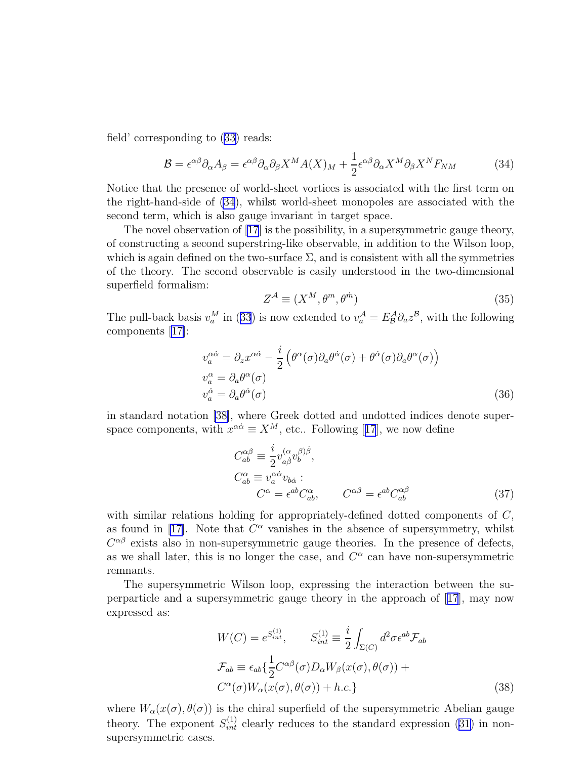field' corresponding to([33\)](#page-12-0) reads:

$$
\mathcal{B} = \epsilon^{\alpha\beta}\partial_{\alpha}A_{\beta} = \epsilon^{\alpha\beta}\partial_{\alpha}\partial_{\beta}X^{M}A(X)_{M} + \frac{1}{2}\epsilon^{\alpha\beta}\partial_{\alpha}X^{M}\partial_{\beta}X^{N}F_{NM}
$$
(34)

Notice that the presence of world-sheet vortices is associated with the first term on the right-hand-side of (34), whilst world-sheet monopoles are associated with the second term, which is also gauge invariant in target space.

The novel observation of [\[17](#page-18-0)] is the possibility, in a supersymmetric gauge theory, of constructing a second superstring-like observable, in addition to the Wilson loop, which is again defined on the two-surface  $\Sigma$ , and is consistent with all the symmetries of the theory. The second observable is easily understood in the two-dimensional superfield formalism:

$$
Z^{\mathcal{A}} \equiv (X^M, \theta^m, \theta^{\dot{m}})
$$
\n(35)

Thepull-back basis  $v_a^M$  in ([33](#page-12-0)) is now extended to  $v_a^A = E^A_B \partial_a z^B$ , with the following components [\[17\]](#page-18-0):

$$
v_a^{\alpha \dot{\alpha}} = \partial_z x^{\alpha \dot{\alpha}} - \frac{i}{2} \left( \theta^{\alpha}(\sigma) \partial_a \theta^{\dot{\alpha}}(\sigma) + \theta^{\dot{\alpha}}(\sigma) \partial_a \theta^{\alpha}(\sigma) \right)
$$
  
\n
$$
v_a^{\alpha} = \partial_a \theta^{\alpha}(\sigma)
$$
  
\n
$$
v_a^{\dot{\alpha}} = \partial_a \theta^{\dot{\alpha}}(\sigma)
$$
\n(36)

in standard notation [\[38\]](#page-20-0), where Greek dotted and undotted indices denote superspacecomponents, with  $x^{\alpha\dot{\alpha}} \equiv X^M$ , etc.. Following [[17](#page-18-0)], we now define

$$
C_{ab}^{\alpha\beta} \equiv \frac{i}{2} v_{a\dot{\beta}}^{(\alpha} v_b^{\beta)\dot{\beta}},
$$
  
\n
$$
C_{ab}^{\alpha} \equiv v_a^{\alpha\dot{\alpha}} v_{b\dot{\alpha}} :
$$
  
\n
$$
C^{\alpha} = \epsilon^{ab} C_{ab}^{\alpha}, \qquad C^{\alpha\beta} = \epsilon^{ab} C_{ab}^{\alpha\beta}
$$
\n(37)

with similar relations holding for appropriately-defined dotted components of  $C$ , as found in [\[17\]](#page-18-0). Note that  $C^{\alpha}$  vanishes in the absence of supersymmetry, whilst  $C^{\alpha\beta}$  exists also in non-supersymmetric gauge theories. In the presence of defects, as we shall later, this is no longer the case, and  $C^{\alpha}$  can have non-supersymmetric remnants.

The supersymmetric Wilson loop, expressing the interaction between the superparticle and a supersymmetric gauge theory in the approach of [[17](#page-18-0)], may now expressed as:

$$
W(C) = e^{S_{int}^{(1)}}, \qquad S_{int}^{(1)} \equiv \frac{i}{2} \int_{\Sigma(C)} d^2 \sigma \epsilon^{ab} \mathcal{F}_{ab}
$$

$$
\mathcal{F}_{ab} \equiv \epsilon_{ab} \{ \frac{1}{2} C^{\alpha \beta}(\sigma) D_{\alpha} W_{\beta}(x(\sigma), \theta(\sigma)) + C^{\alpha}(\sigma) W_{\alpha}(x(\sigma), \theta(\sigma)) + h.c. \}
$$
(38)

where  $W_{\alpha}(x(\sigma), \theta(\sigma))$  is the chiral superfield of the supersymmetric Abelian gauge theory.The exponent  $S_{int}^{(1)}$  clearly reduces to the standard expression ([31\)](#page-12-0) in nonsupersymmetric cases.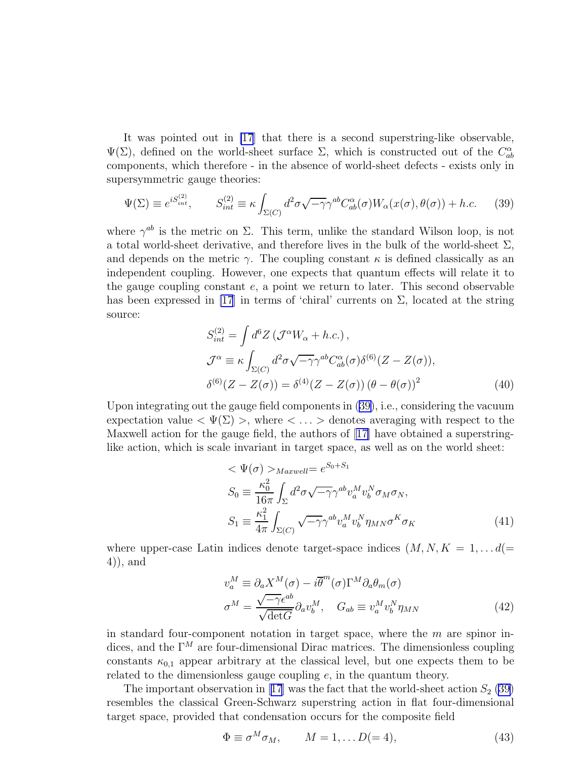<span id="page-14-0"></span>It was pointed out in [\[17](#page-18-0)] that there is a second superstring-like observable,  $\Psi(\Sigma)$ , defined on the world-sheet surface  $\Sigma$ , which is constructed out of the  $C_{ab}^{\alpha}$ components, which therefore - in the absence of world-sheet defects - exists only in supersymmetric gauge theories:

$$
\Psi(\Sigma) \equiv e^{iS_{int}^{(2)}}, \qquad S_{int}^{(2)} \equiv \kappa \int_{\Sigma(C)} d^2 \sigma \sqrt{-\gamma} \gamma^{ab} C_{ab}^{\alpha}(\sigma) W_{\alpha}(x(\sigma), \theta(\sigma)) + h.c. \tag{39}
$$

where  $\gamma^{ab}$  is the metric on  $\Sigma$ . This term, unlike the standard Wilson loop, is not a total world-sheet derivative, and therefore lives in the bulk of the world-sheet  $\Sigma$ , and depends on the metric  $\gamma$ . The coupling constant  $\kappa$  is defined classically as an independent coupling. However, one expects that quantum effects will relate it to the gauge coupling constant  $e$ , a point we return to later. This second observable has been expressed in [\[17](#page-18-0)] in terms of 'chiral' currents on  $\Sigma$ , located at the string source:

$$
S_{int}^{(2)} = \int d^6 Z \left( \mathcal{J}^\alpha W_\alpha + h.c. \right),
$$
  
\n
$$
\mathcal{J}^\alpha \equiv \kappa \int_{\Sigma(C)} d^2 \sigma \sqrt{-\gamma} \gamma^{ab} C_{ab}^\alpha(\sigma) \delta^{(6)}(Z - Z(\sigma)),
$$
  
\n
$$
\delta^{(6)}(Z - Z(\sigma)) = \delta^{(4)}(Z - Z(\sigma)) \left( \theta - \theta(\sigma) \right)^2
$$
\n(40)

Upon integrating out the gauge field components in (39), i.e., considering the vacuum expectation value  $\langle \Psi(\Sigma) \rangle$ , where  $\langle \ldots \rangle$  denotes averaging with respect to the Maxwell action for the gauge field, the authors of[[17\]](#page-18-0) have obtained a superstringlike action, which is scale invariant in target space, as well as on the world sheet:

$$
\langle \Psi(\sigma) \rangle_{Maxwell} = e^{S_0 + S_1}
$$
  
\n
$$
S_0 \equiv \frac{\kappa_0^2}{16\pi} \int_{\Sigma} d^2 \sigma \sqrt{-\gamma} \gamma^{ab} v_a^M v_b^N \sigma_M \sigma_N,
$$
  
\n
$$
S_1 \equiv \frac{\kappa_1^2}{4\pi} \int_{\Sigma(C)} \sqrt{-\gamma} \gamma^{ab} v_a^M v_b^N \eta_{MN} \sigma^K \sigma_K
$$
\n(41)

where upper-case Latin indices denote target-space indices  $(M, N, K = 1, \ldots d)$ 4)), and

$$
v_a^M \equiv \partial_a X^M(\sigma) - i \overline{\theta}^m(\sigma) \Gamma^M \partial_a \theta_m(\sigma)
$$
  

$$
\sigma^M = \frac{\sqrt{-\gamma} \epsilon^{ab}}{\sqrt{\det G}} \partial_a v_b^M, \quad G_{ab} \equiv v_a^M v_b^N \eta_{MN}
$$
 (42)

in standard four-component notation in target space, where the  $m$  are spinor indices, and the  $\Gamma^M$  are four-dimensional Dirac matrices. The dimensionless coupling constants  $\kappa_{0,1}$  appear arbitrary at the classical level, but one expects them to be related to the dimensionless gauge coupling  $e$ , in the quantum theory.

Theimportant observation in [[17](#page-18-0)] was the fact that the world-sheet action  $S_2$  (39) resembles the classical Green-Schwarz superstring action in flat four-dimensional target space, provided that condensation occurs for the composite field

$$
\Phi \equiv \sigma^M \sigma_M, \qquad M = 1, \dots D(= 4), \tag{43}
$$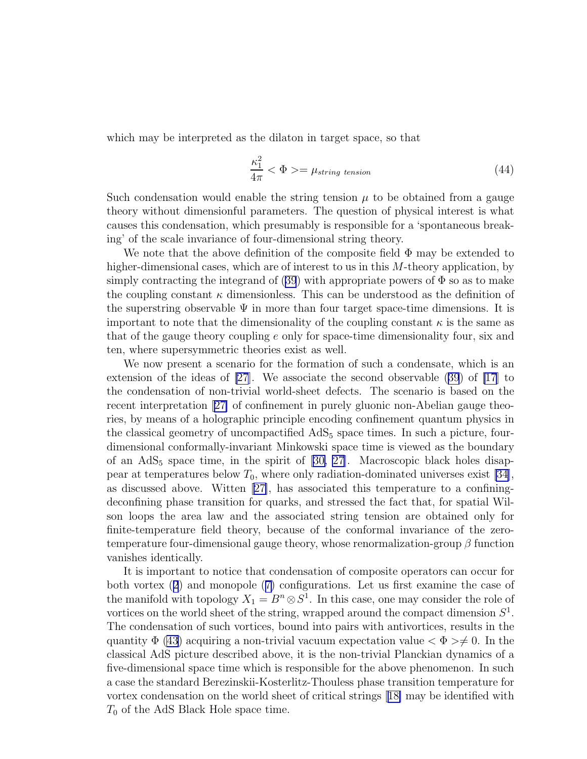which may be interpreted as the dilaton in target space, so that

$$
\frac{\kappa_1^2}{4\pi} < \Phi > = \mu_{string \ tension} \tag{44}
$$

Such condensation would enable the string tension  $\mu$  to be obtained from a gauge theory without dimensionful parameters. The question of physical interest is what causes this condensation, which presumably is responsible for a 'spontaneous breaking' of the scale invariance of four-dimensional string theory.

We note that the above definition of the composite field  $\Phi$  may be extended to higher-dimensional cases, which are of interest to us in this M-theory application, by simplycontracting the integrand of ([39](#page-14-0)) with appropriate powers of  $\Phi$  so as to make the coupling constant  $\kappa$  dimensionless. This can be understood as the definition of the superstring observable  $\Psi$  in more than four target space-time dimensions. It is important to note that the dimensionality of the coupling constant  $\kappa$  is the same as that of the gauge theory coupling e only for space-time dimensionality four, six and ten, where supersymmetric theories exist as well.

We now present a scenario for the formation of such a condensate, which is an extension of the ideas of [\[27](#page-19-0)]. We associate the second observable([39](#page-14-0)) of [\[17](#page-18-0)] to the condensation of non-trivial world-sheet defects. The scenario is based on the recent interpretation[[27\]](#page-19-0) of confinement in purely gluonic non-Abelian gauge theories, by means of a holographic principle encoding confinement quantum physics in the classical geometry of uncompactified  $AdS<sub>5</sub>$  space times. In such a picture, fourdimensional conformally-invariant Minkowski space time is viewed as the boundary ofan  $AdS_5$  space time, in the spirit of [[30, 27\]](#page-19-0). Macroscopic black holes disappear at temperatures below  $T_0$ , where only radiation-dominated universes exist [\[34](#page-19-0)], as discussed above. Witten [\[27\]](#page-19-0), has associated this temperature to a confiningdeconfining phase transition for quarks, and stressed the fact that, for spatial Wilson loops the area law and the associated string tension are obtained only for finite-temperature field theory, because of the conformal invariance of the zerotemperature four-dimensional gauge theory, whose renormalization-group  $\beta$  function vanishes identically.

It is important to notice that condensation of composite operators can occur for both vortex([2](#page-2-0)) and monopole([7\)](#page-3-0) configurations. Let us first examine the case of the manifold with topology  $X_1 = B^n \otimes S^1$ . In this case, one may consider the role of vortices on the world sheet of the string, wrapped around the compact dimension  $S^1$ . The condensation of such vortices, bound into pairs with antivortices, results in the quantity  $\Phi$  [\(43](#page-14-0)) acquiring a non-trivial vacuum expectation value  $\langle \Phi \rangle \neq 0$ . In the classical AdS picture described above, it is the non-trivial Planckian dynamics of a five-dimensional space time which is responsible for the above phenomenon. In such a case the standard Berezinskii-Kosterlitz-Thouless phase transition temperature for vortex condensation on the world sheet of critical strings[[18\]](#page-18-0) may be identified with  $T_0$  of the AdS Black Hole space time.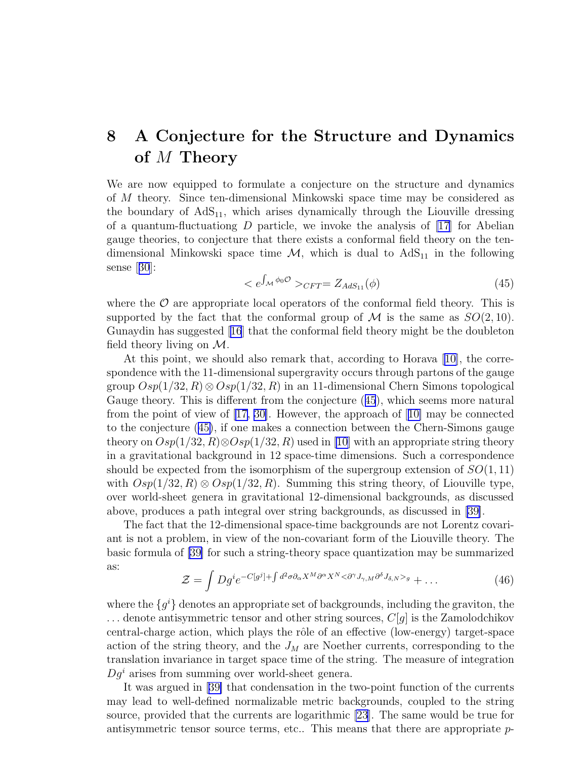## <span id="page-16-0"></span>8 A Conjecture for the Structure and Dynamics of M Theory

We are now equipped to formulate a conjecture on the structure and dynamics of M theory. Since ten-dimensional Minkowski space time may be considered as the boundary of  $AdS_{11}$ , which arises dynamically through the Liouville dressing of a quantum-fluctuationg  $D$  particle, we invoke the analysis of [\[17\]](#page-18-0) for Abelian gauge theories, to conjecture that there exists a conformal field theory on the tendimensional Minkowski space time  $\mathcal{M}$ , which is dual to  $AdS_{11}$  in the following sense[[30](#page-19-0)]:

$$
\langle e^{\int_{\mathcal{M}} \phi_0 \mathcal{O}} \rangle_{CFT} = Z_{AdS_{11}}(\phi) \tag{45}
$$

where the  $\mathcal O$  are appropriate local operators of the conformal field theory. This is supported by the fact that the conformal group of  $\mathcal M$  is the same as  $SO(2, 10)$ . Gunaydin has suggested[[16](#page-18-0)] that the conformal field theory might be the doubleton field theory living on  $\mathcal{M}$ .

At this point, we should also remark that, according to Horava [\[10\]](#page-18-0), the correspondence with the 11-dimensional supergravity occurs through partons of the gauge group  $Osp(1/32, R) \otimes Osp(1/32, R)$  in an 11-dimensional Chern Simons topological Gauge theory. This is different from the conjecture (45), which seems more natural from the point of view of [\[17,](#page-18-0) [30\]](#page-19-0). However, the approach of[[10\]](#page-18-0) may be connected to the conjecture (45), if one makes a connection between the Chern-Simons gauge theory on  $Osp(1/32, R) \otimes Osp(1/32, R)$  used in [\[10\]](#page-18-0) with an appropriate string theory in a gravitational background in 12 space-time dimensions. Such a correspondence should be expected from the isomorphism of the supergroup extension of  $SO(1,11)$ with  $Osp(1/32, R) \otimes Osp(1/32, R)$ . Summing this string theory, of Liouville type, over world-sheet genera in gravitational 12-dimensional backgrounds, as discussed above, produces a path integral over string backgrounds, as discussed in [\[39\]](#page-20-0).

The fact that the 12-dimensional space-time backgrounds are not Lorentz covariant is not a problem, in view of the non-covariant form of the Liouville theory. The basic formula of [\[39\]](#page-20-0) for such a string-theory space quantization may be summarized as:

$$
\mathcal{Z} = \int Dg^{i} e^{-C[g^{j}] + \int d^{2}\sigma \partial_{\alpha} X^{M} \partial^{\alpha} X^{N} < \partial^{\gamma} J_{\gamma,M} \partial^{\delta} J_{\delta,N} >_{g} + \dots
$$
\n(46)

where the  $\{g^i\}$  denotes an appropriate set of backgrounds, including the graviton, the  $\dots$  denote antisymmetric tensor and other string sources,  $C[g]$  is the Zamolodchikov central-charge action, which plays the rôle of an effective (low-energy) target-space action of the string theory, and the  $J_M$  are Noether currents, corresponding to the translation invariance in target space time of the string. The measure of integration  $Dq<sup>i</sup>$  arises from summing over world-sheet genera.

It was argued in[[39\]](#page-20-0) that condensation in the two-point function of the currents may lead to well-defined normalizable metric backgrounds, coupled to the string source, provided that the currents are logarithmic [\[23\]](#page-19-0). The same would be true for antisymmetric tensor source terms, etc.. This means that there are appropriate  $p$ -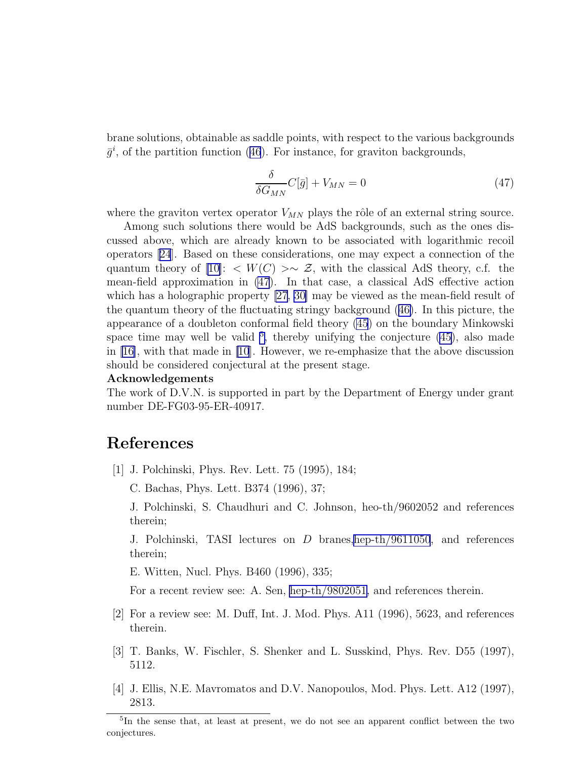<span id="page-17-0"></span>brane solutions, obtainable as saddle points, with respect to the various backgrounds  $\bar{g}^i$ ,of the partition function ([46](#page-16-0)). For instance, for graviton backgrounds,

$$
\frac{\delta}{\delta G_{MN}} C[\bar{g}] + V_{MN} = 0 \tag{47}
$$

where the graviton vertex operator  $V_{MN}$  plays the rôle of an external string source.

Among such solutions there would be AdS backgrounds, such as the ones discussed above, which are already known to be associated with logarithmic recoil operators[[24](#page-19-0)]. Based on these considerations, one may expect a connection of the quantum theory of [\[10\]](#page-18-0): <  $W(C) > \sim \mathcal{Z}$ , with the classical AdS theory, c.f. the mean-field approximation in (47). In that case, a classical AdS effective action which has a holographic property [\[27](#page-19-0), [30\]](#page-19-0) may be viewed as the mean-field result of the quantum theory of the fluctuating stringy background([46\)](#page-16-0). In this picture, the appearance of a doubleton conformal field theory [\(45](#page-16-0)) on the boundary Minkowski space time may well be valid  $5$ , thereby unifying the conjecture  $(45)$ , also made in[[16\]](#page-18-0), with that made in [\[10](#page-18-0)]. However, we re-emphasize that the above discussion should be considered conjectural at the present stage.

#### Acknowledgements

The work of D.V.N. is supported in part by the Department of Energy under grant number DE-FG03-95-ER-40917.

### References

[1] J. Polchinski, Phys. Rev. Lett. 75 (1995), 184;

C. Bachas, Phys. Lett. B374 (1996), 37;

J. Polchinski, S. Chaudhuri and C. Johnson, heo-th/9602052 and references therein;

J. Polchinski, TASI lectures on D branes[,hep-th/9611050](http://arxiv.org/abs/hep-th/9611050), and references therein;

E. Witten, Nucl. Phys. B460 (1996), 335;

For a recent review see: A. Sen, [hep-th/9802051,](http://arxiv.org/abs/hep-th/9802051) and references therein.

- [2] For a review see: M. Duff, Int. J. Mod. Phys. A11 (1996), 5623, and references therein.
- [3] T. Banks, W. Fischler, S. Shenker and L. Susskind, Phys. Rev. D55 (1997), 5112.
- [4] J. Ellis, N.E. Mavromatos and D.V. Nanopoulos, Mod. Phys. Lett. A12 (1997), 2813.

<sup>5</sup> In the sense that, at least at present, we do not see an apparent conflict between the two conjectures.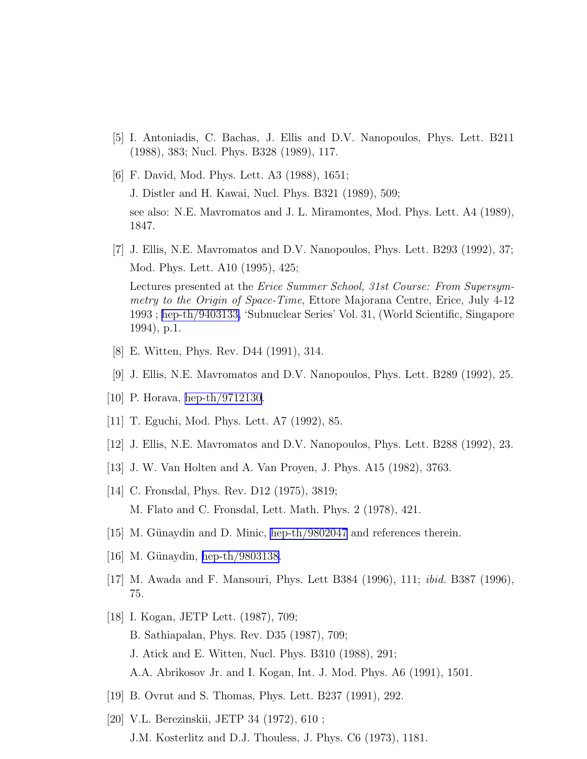- <span id="page-18-0"></span>[5] I. Antoniadis, C. Bachas, J. Ellis and D.V. Nanopoulos, Phys. Lett. B211 (1988), 383; Nucl. Phys. B328 (1989), 117.
- [6] F. David, Mod. Phys. Lett. A3 (1988), 1651; J. Distler and H. Kawai, Nucl. Phys. B321 (1989), 509; see also: N.E. Mavromatos and J. L. Miramontes, Mod. Phys. Lett. A4 (1989), 1847.
- [7] J. Ellis, N.E. Mavromatos and D.V. Nanopoulos, Phys. Lett. B293 (1992), 37; Mod. Phys. Lett. A10 (1995), 425;

Lectures presented at the Erice Summer School, 31st Course: From Supersymmetry to the Origin of Space-Time, Ettore Majorana Centre, Erice, July 4-12 1993; [hep-th/9403133,](http://arxiv.org/abs/hep-th/9403133) 'Subnuclear Series' Vol. 31, (World Scientific, Singapore 1994), p.1.

- [8] E. Witten, Phys. Rev. D44 (1991), 314.
- [9] J. Ellis, N.E. Mavromatos and D.V. Nanopoulos, Phys. Lett. B289 (1992), 25.
- [10] P. Horava, [hep-th/9712130.](http://arxiv.org/abs/hep-th/9712130)
- [11] T. Eguchi, Mod. Phys. Lett. A7 (1992), 85.
- [12] J. Ellis, N.E. Mavromatos and D.V. Nanopoulos, Phys. Lett. B288 (1992), 23.
- [13] J. W. Van Holten and A. Van Proyen, J. Phys. A15 (1982), 3763.
- [14] C. Fronsdal, Phys. Rev. D12 (1975), 3819; M. Flato and C. Fronsdal, Lett. Math. Phys. 2 (1978), 421.
- $[15]$  M. Günaydin and D. Minic, [hep-th/9802047](http://arxiv.org/abs/hep-th/9802047) and references therein.
- [16] M. Günaydin, [hep-th/9803138.](http://arxiv.org/abs/hep-th/9803138)
- [17] M. Awada and F. Mansouri, Phys. Lett B384 (1996), 111; ibid. B387 (1996), 75.
- [18] I. Kogan, JETP Lett. (1987), 709; B. Sathiapalan, Phys. Rev. D35 (1987), 709; J. Atick and E. Witten, Nucl. Phys. B310 (1988), 291; A.A. Abrikosov Jr. and I. Kogan, Int. J. Mod. Phys. A6 (1991), 1501.
- [19] B. Ovrut and S. Thomas, Phys. Lett. B237 (1991), 292.
- [20] V.L. Berezinskii, JETP 34 (1972), 610 ; J.M. Kosterlitz and D.J. Thouless, J. Phys. C6 (1973), 1181.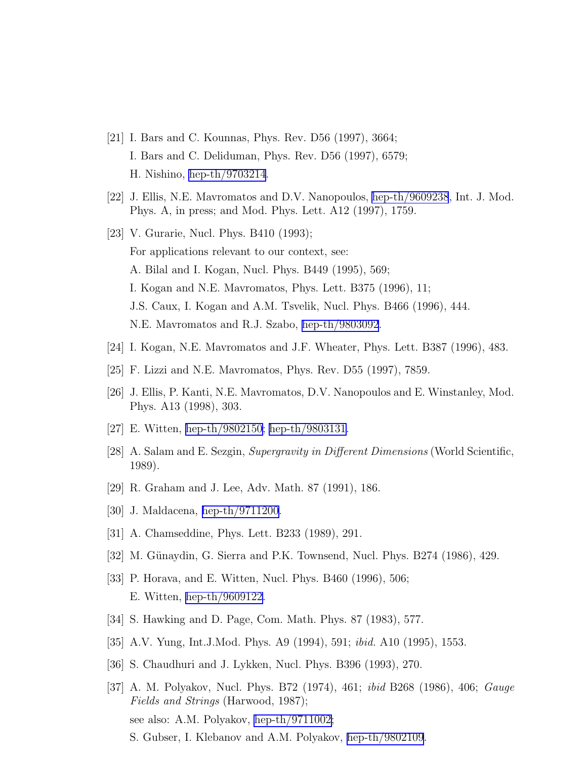- <span id="page-19-0"></span>[21] I. Bars and C. Kounnas, Phys. Rev. D56 (1997), 3664; I. Bars and C. Deliduman, Phys. Rev. D56 (1997), 6579; H. Nishino, [hep-th/9703214](http://arxiv.org/abs/hep-th/9703214).
- [22] J. Ellis, N.E. Mavromatos and D.V. Nanopoulos, [hep-th/9609238](http://arxiv.org/abs/hep-th/9609238), Int. J. Mod. Phys. A, in press; and Mod. Phys. Lett. A12 (1997), 1759.
- [23] V. Gurarie, Nucl. Phys. B410 (1993); For applications relevant to our context, see: A. Bilal and I. Kogan, Nucl. Phys. B449 (1995), 569; I. Kogan and N.E. Mavromatos, Phys. Lett. B375 (1996), 11; J.S. Caux, I. Kogan and A.M. Tsvelik, Nucl. Phys. B466 (1996), 444. N.E. Mavromatos and R.J. Szabo, [hep-th/9803092](http://arxiv.org/abs/hep-th/9803092).
- [24] I. Kogan, N.E. Mavromatos and J.F. Wheater, Phys. Lett. B387 (1996), 483.
- [25] F. Lizzi and N.E. Mavromatos, Phys. Rev. D55 (1997), 7859.
- [26] J. Ellis, P. Kanti, N.E. Mavromatos, D.V. Nanopoulos and E. Winstanley, Mod. Phys. A13 (1998), 303.
- [27] E. Witten, [hep-th/9802150;](http://arxiv.org/abs/hep-th/9802150) [hep-th/9803131](http://arxiv.org/abs/hep-th/9803131).
- [28] A. Salam and E. Sezgin, Supergravity in Different Dimensions (World Scientific, 1989).
- [29] R. Graham and J. Lee, Adv. Math. 87 (1991), 186.
- [30] J. Maldacena, [hep-th/9711200.](http://arxiv.org/abs/hep-th/9711200)
- [31] A. Chamseddine, Phys. Lett. B233 (1989), 291.
- [32] M. Günaydin, G. Sierra and P.K. Townsend, Nucl. Phys. B274 (1986), 429.
- [33] P. Horava, and E. Witten, Nucl. Phys. B460 (1996), 506; E. Witten, [hep-th/9609122.](http://arxiv.org/abs/hep-th/9609122)
- [34] S. Hawking and D. Page, Com. Math. Phys. 87 (1983), 577.
- [35] A.V. Yung, Int.J.Mod. Phys. A9 (1994), 591; ibid. A10 (1995), 1553.
- [36] S. Chaudhuri and J. Lykken, Nucl. Phys. B396 (1993), 270.
- [37] A. M. Polyakov, Nucl. Phys. B72 (1974), 461; ibid B268 (1986), 406; Gauge Fields and Strings (Harwood, 1987); see also: A.M. Polyakov, [hep-th/9711002;](http://arxiv.org/abs/hep-th/9711002) S. Gubser, I. Klebanov and A.M. Polyakov, [hep-th/9802109](http://arxiv.org/abs/hep-th/9802109).